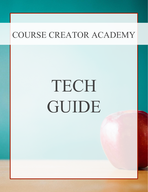# TECH GUIDE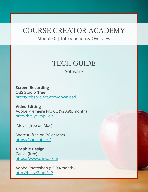Module 0 | Introduction & Overview

## TECH GUIDE

Software

**Screen Recording** 

OBS Studio (free) <https://obsproject.com/download>

**Video Editing**  Adobe Premiere Pro CC (\$20.99/month) <http://bit.ly/2mpIFoP>

iMovie (free on Mac)

Shotcut (free on PC or Mac) <https://shotcut.org/>

**Graphic Design** Canva (free) <https://www.canva.com>

Adobe Photoshop (\$9.99/month) <http://bit.ly/2mpIFoP>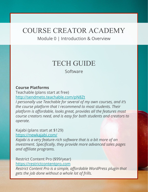Module 0 | Introduction & Overview

## TECH GUIDE

Software

#### **Course Platforms**

Teachable (plans start at free) <http://sendmeto.teachable.com/pN8Zt> *I personally use Teachable for several of my own courses, and it's the course platform that I recommend to most students. Their platform is affordable, looks great, provides all the features most course creators need, and is easy for both students and creators to operate.*

Kajabi (plans start at \$129) <https://newkajabi.com/>

*Kajabi is a very feature-rich software that is a bit more of an investment. Specifically, they provide more advanced sales pages and affiliate programs.*

Restrict Content Pro (\$99/year) <https://restrictcontentpro.com>

*Restrict Content Pro is a simple, affordable WordPress plugin that gets the job done without a whole lot of frills.*